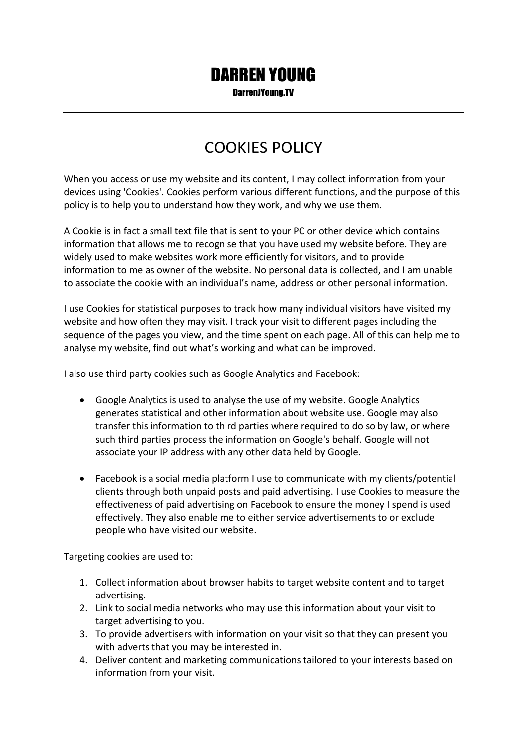# DARREN YOUNG

DarrenJYoung.TV

# COOKIES POLICY

When you access or use my website and its content, I may collect information from your devices using 'Cookies'. Cookies perform various different functions, and the purpose of this policy is to help you to understand how they work, and why we use them.

A Cookie is in fact a small text file that is sent to your PC or other device which contains information that allows me to recognise that you have used my website before. They are widely used to make websites work more efficiently for visitors, and to provide information to me as owner of the website. No personal data is collected, and I am unable to associate the cookie with an individual's name, address or other personal information.

I use Cookies for statistical purposes to track how many individual visitors have visited my website and how often they may visit. I track your visit to different pages including the sequence of the pages you view, and the time spent on each page. All of this can help me to analyse my website, find out what's working and what can be improved.

I also use third party cookies such as Google Analytics and Facebook:

- Google Analytics is used to analyse the use of my website. Google Analytics generates statistical and other information about website use. Google may also transfer this information to third parties where required to do so by law, or where such third parties process the information on Google's behalf. Google will not associate your IP address with any other data held by Google.
- Facebook is a social media platform I use to communicate with my clients/potential clients through both unpaid posts and paid advertising. I use Cookies to measure the effectiveness of paid advertising on Facebook to ensure the money I spend is used effectively. They also enable me to either service advertisements to or exclude people who have visited our website.

Targeting cookies are used to:

- 1. Collect information about browser habits to target website content and to target advertising.
- 2. Link to social media networks who may use this information about your visit to target advertising to you.
- 3. To provide advertisers with information on your visit so that they can present you with adverts that you may be interested in.
- 4. Deliver content and marketing communications tailored to your interests based on information from your visit.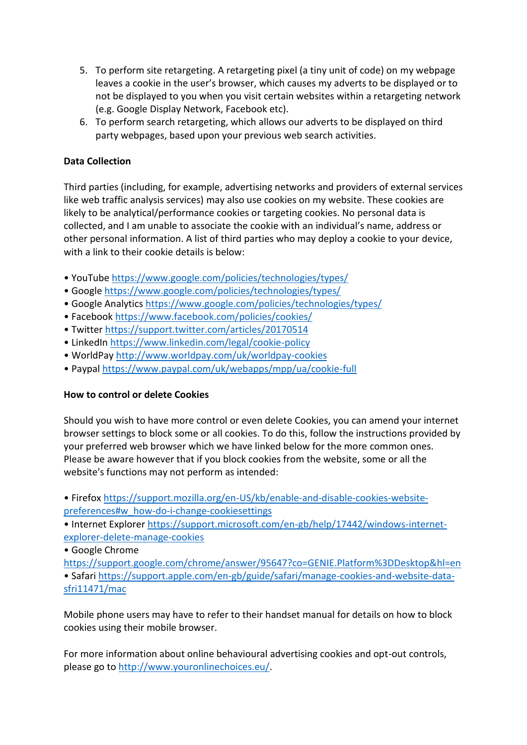- 5. To perform site retargeting. A retargeting pixel (a tiny unit of code) on my webpage leaves a cookie in the user's browser, which causes my adverts to be displayed or to not be displayed to you when you visit certain websites within a retargeting network (e.g. Google Display Network, Facebook etc).
- 6. To perform search retargeting, which allows our adverts to be displayed on third party webpages, based upon your previous web search activities.

## **Data Collection**

Third parties (including, for example, advertising networks and providers of external services like web traffic analysis services) may also use cookies on my website. These cookies are likely to be analytical/performance cookies or targeting cookies. No personal data is collected, and I am unable to associate the cookie with an individual's name, address or other personal information. A list of third parties who may deploy a cookie to your device, with a link to their cookie details is below:

- YouTube <https://www.google.com/policies/technologies/types/>
- Google <https://www.google.com/policies/technologies/types/>
- Google Analytics <https://www.google.com/policies/technologies/types/>
- Facebook <https://www.facebook.com/policies/cookies/>
- Twitter <https://support.twitter.com/articles/20170514>
- LinkedIn <https://www.linkedin.com/legal/cookie-policy>
- WorldPay <http://www.worldpay.com/uk/worldpay-cookies>
- Paypal <https://www.paypal.com/uk/webapps/mpp/ua/cookie-full>

### **How to control or delete Cookies**

Should you wish to have more control or even delete Cookies, you can amend your internet browser settings to block some or all cookies. To do this, follow the instructions provided by your preferred web browser which we have linked below for the more common ones. Please be aware however that if you block cookies from the website, some or all the website's functions may not perform as intended:

• Firefox [https://support.mozilla.org/en-US/kb/enable-and-disable-cookies-website](https://support.mozilla.org/en-US/kb/enable-and-disable-cookies-website-preferences#w_how-do-i-change-cookiesettings)[preferences#w\\_how-do-i-change-cookiesettings](https://support.mozilla.org/en-US/kb/enable-and-disable-cookies-website-preferences#w_how-do-i-change-cookiesettings)

- Internet Explorer [https://support.microsoft.com/en-gb/help/17442/windows-internet](https://support.microsoft.com/en-gb/help/17442/windows-internet-explorer-delete-manage-cookies)[explorer-delete-manage-cookies](https://support.microsoft.com/en-gb/help/17442/windows-internet-explorer-delete-manage-cookies)
- Google Chrome

<https://support.google.com/chrome/answer/95647?co=GENIE.Platform%3DDesktop&hl=en> • Safari [https://support.apple.com/en-gb/guide/safari/manage-cookies-and-website-data](https://support.apple.com/en-gb/guide/safari/manage-cookies-and-website-data-sfri11471/mac)[sfri11471/mac](https://support.apple.com/en-gb/guide/safari/manage-cookies-and-website-data-sfri11471/mac)

Mobile phone users may have to refer to their handset manual for details on how to block cookies using their mobile browser.

For more information about online behavioural advertising cookies and opt-out controls, please go to [http://www.youronlinechoices.eu/.](http://www.youronlinechoices.eu/)